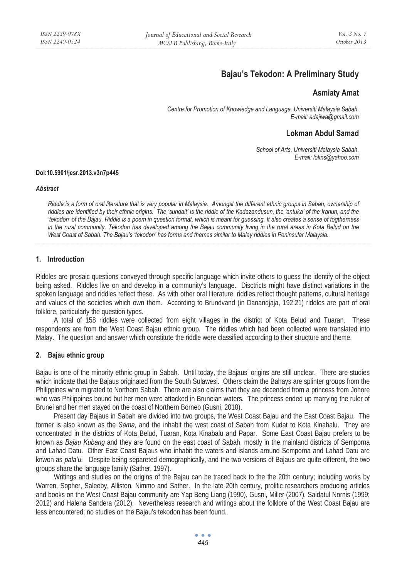# **Bajau's Tekodon: A Preliminary Study**

### **Asmiaty Amat**

*Centre for Promotion of Knowledge and Language, Universiti Malaysia Sabah. E-mail: adajiwa@gmail.com* 

### **Lokman Abdul Samad**

 *School of Arts, Universiti Malaysia Sabah. E-mail: lokns@yahoo.com* 

#### **Doi:10.5901/jesr.2013.v3n7p445**

#### *Abstract*

*Riddle is a form of oral literature that is very popular in Malaysia. Amongst the different ethnic groups in Sabah, ownership of riddles are identified by their ethnic origins. The 'sundait' is the riddle of the Kadazandusun, the 'antuka' of the Iranun, and the 'tekodon' of the Bajau. Riddle is a poem in question format, which is meant for guessing. It also creates a sense of togtherness in the rural community. Tekodon has developed among the Bajau community living in the rural areas in Kota Belud on the West Coast of Sabah. The Bajau's 'tekodon' has forms and themes similar to Malay riddles in Peninsular Malaysia.* 

#### **1. Introduction**

Riddles are prosaic questions conveyed through specific language which invite others to guess the identify of the object being asked. Riddles live on and develop in a community's language. Disctricts might have distinct variations in the spoken language and riddles reflect these. As with other oral literature, riddles reflect thought patterns, cultural heritage and values of the societies which own them. According to Brundvand (in Danandjaja, 192:21) riddles are part of oral folklore, particularly the question types.

A total of 158 riddles were collected from eight villages in the district of Kota Belud and Tuaran. These respondents are from the West Coast Bajau ethnic group. The riddles which had been collected were translated into Malay. The question and answer which constitute the riddle were classified according to their structure and theme.

#### **2. Bajau ethnic group**

Bajau is one of the minority ethnic group in Sabah. Until today, the Bajaus' origins are still unclear. There are studies which indicate that the Bajaus originated from the South Sulawesi. Others claim the Bahays are splinter groups from the Philippines who migrated to Northern Sabah. There are also claims that they are decended from a princess from Johore who was Philippines bound but her men were attacked in Bruneian waters. The princess ended up marrying the ruler of Brunei and her men stayed on the coast of Northern Borneo (Gusni, 2010).

Present day Bajaus in Sabah are divided into two groups, the West Coast Bajau and the East Coast Bajau. The former is also known as the *Sama*, and the inhabit the west coast of Sabah from Kudat to Kota Kinabalu. They are concentrated in the districts of Kota Belud, Tuaran, Kota Kinabalu and Papar. Some East Coast Bajau prefers to be known as *Bajau Kubang* and they are found on the east coast of Sabah, mostly in the mainland districts of Semporna and Lahad Datu. Other East Coast Bajaus who inhabit the waters and islands around Semporna and Lahad Datu are knwon as *pala'u*. Despite being separeted demographically, and the two versions of Bajaus are quite different, the two groups share the language family (Sather, 1997).

Writings and studies on the origins of the Bajau can be traced back to the the 20th century; including works by Warren, Sopher, Saleeby, Alliston, Nimmo and Sather. In the late 20th century, prolific researchers producing articles and books on the West Coast Bajau community are Yap Beng Liang (1990), Gusni, Miller (2007), Saidatul Nornis (1999; 2012) and Halena Sandera (2012). Nevertheless research and writings about the folklore of the West Coast Bajau are less encountered; no studies on the Bajau's tekodon has been found.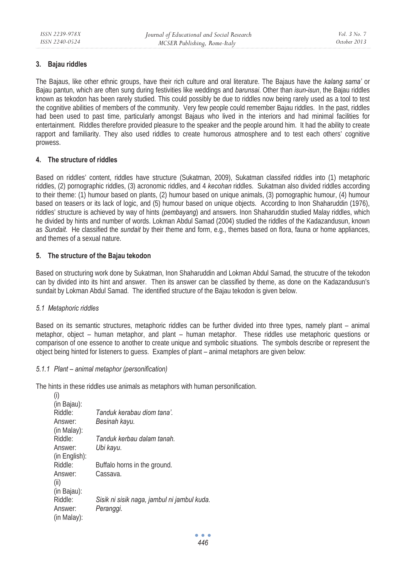### **3. Bajau riddles**

The Bajaus, like other ethnic groups, have their rich culture and oral literature. The Bajaus have the *kalang sama'* or Bajau pantun, which are often sung during festivities like weddings and *barunsai*. Other than *isun-isun*, the Bajau riddles known as tekodon has been rarely studied. This could possibly be due to riddles now being rarely used as a tool to test the cognitive abilities of members of the community. Very few people could remember Bajau riddles. In the past, riddles had been used to past time, particularly amongst Bajaus who lived in the interiors and had minimal facilities for entertainment. Riddles therefore provided pleasure to the speaker and the people around him. It had the ability to create rapport and familiarity. They also used riddles to create humorous atmosphere and to test each others' cognitive prowess.

### **4. The structure of riddles**

Based on riddles' content, riddles have structure (Sukatman, 2009), Sukatman classifed riddles into (1) metaphoric riddles, (2) pornographic riddles, (3) acronomic riddles, and 4 *kecohan* riddles. Sukatman also divided riddles according to their theme: (1) humour based on plants, (2) humour based on unique animals, (3) pornographic humour, (4) humour based on teasers or its lack of logic, and (5) humour based on unique objects. According to Inon Shaharuddin (1976), riddles' structure is achieved by way of hints *(pembayang*) and answers. Inon Shaharuddin studied Malay riddles, which he divided by hints and number of words. Lokman Abdul Samad (2004) studied the riddles of the Kadazandusun, known as *Sundait*. He classified the *sundait* by their theme and form, e.g., themes based on flora, fauna or home appliances, and themes of a sexual nature.

### **5. The structure of the Bajau tekodon**

Based on structuring work done by Sukatman, Inon Shaharuddin and Lokman Abdul Samad, the strucutre of the tekodon can by divided into its hint and answer. Then its answer can be classified by theme, as done on the Kadazandusun's sundait by Lokman Abdul Samad. The identified structure of the Bajau tekodon is given below.

### *5.1 Metaphoric riddles*

Based on its semantic structures, metaphoric riddles can be further divided into three types, namely plant – animal metaphor, object – human metaphor, and plant – human metaphor. These riddles use metaphoric questions or comparison of one essence to another to create unique and symbolic situations. The symbols describe or represent the object being hinted for listeners to guess. Examples of plant – animal metaphors are given below:

## *5.1.1 Plant – animal metaphor (personification)*

The hints in these riddles use animals as metaphors with human personification.

| (i)              |                                             |
|------------------|---------------------------------------------|
| (in Bajau):      |                                             |
| Riddle:          | Tanduk kerabau diom tana'.                  |
| Answer:          | Besinah kayu.                               |
| $(in$ Malay $):$ |                                             |
| Riddle:          | Tanduk kerbau dalam tanah.                  |
| Answer:          | Ubi kayu.                                   |
| (in English):    |                                             |
| Riddle:          | Buffalo horns in the ground.                |
| Answer:          | Cassava.                                    |
| (ii)             |                                             |
| (in Bajau):      |                                             |
| Riddle:          | Sisik ni sisik naga, jambul ni jambul kuda. |
| Answer:          | Peranggi.                                   |
| $(in$ Malay $):$ |                                             |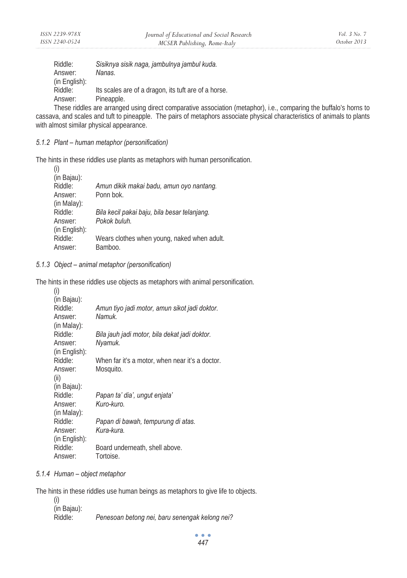Riddle: *Sisiknya sisik naga, jambulnya jambul kuda.*  Answer: *Nanas.*  (in English): Riddle: Its scales are of a dragon, its tuft are of a horse. Answer: Pineapple.

These riddles are arranged using direct comparative association (metaphor), i.e., comparing the buffalo's horns to cassava, and scales and tuft to pineapple. The pairs of metaphors associate physical characteristics of animals to plants with almost similar physical appearance.

#### *5.1.2 Plant – human metaphor (personification)*

The hints in these riddles use plants as metaphors with human personification.  $\left| \right\rangle$ 

| w             |                                              |
|---------------|----------------------------------------------|
| (in Bajau):   |                                              |
| Riddle:       | Amun dikik makai badu, amun oyo nantang.     |
| Answer:       | Ponn bok.                                    |
| (in Malay):   |                                              |
| Riddle:       | Bila kecil pakai baju, bila besar telanjang. |
| Answer:       | Pokok buluh.                                 |
| (in English): |                                              |
| Riddle:       | Wears clothes when young, naked when adult.  |
| Answer:       | Bamboo.                                      |
|               |                                              |

#### *5.1.3 Object – animal metaphor (personification)*

The hints in these riddles use objects as metaphors with animal personification.

| (i)<br>(in Bajau):          |                                                 |
|-----------------------------|-------------------------------------------------|
| Riddle:                     | Amun tiyo jadi motor, amun sikot jadi doktor.   |
| Answer:<br>(in Malay):      | Namuk.                                          |
| Riddle:                     | Bila jauh jadi motor, bila dekat jadi doktor.   |
| Answer:                     | Nyamuk.                                         |
| (in English):<br>Riddle:    | When far it's a motor, when near it's a doctor. |
| Answer:                     | Mosquito.                                       |
| (ii)                        |                                                 |
| (in Bajau):                 |                                                 |
| Riddle:                     | Papan ta' dia', ungut enjata'                   |
| Answer:<br>$(in$ Malay $):$ | Kuro-kuro.                                      |
| Riddle:                     | Papan di bawah, tempurung di atas.              |
| Answer:                     | Kura-kura.                                      |
| (in English):               |                                                 |
| Riddle:                     | Board underneath, shell above.                  |
| Answer:                     | Tortoise.                                       |

### *5.1.4 Human – object metaphor*

The hints in these riddles use human beings as metaphors to give life to objects.

| (i)         |                                                |
|-------------|------------------------------------------------|
| (in Bajau): |                                                |
| Riddle:     | Penesoan betong nei, baru senengak kelong nei? |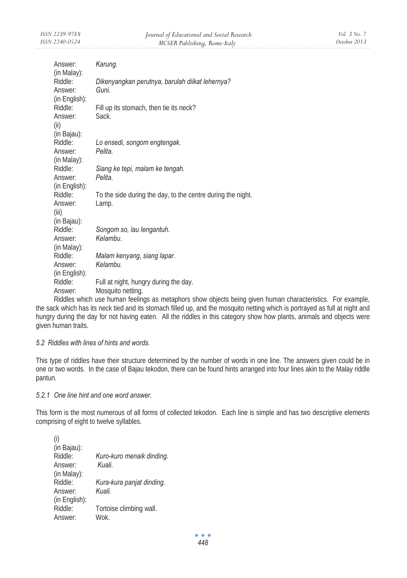| Answer:<br>(in Malay):   | Karung.                                                     |
|--------------------------|-------------------------------------------------------------|
| Riddle:                  | Dikenyangkan perutnya, barulah diikat lehernya?             |
| Answer:<br>(in English): | Guni.                                                       |
| Riddle:                  | Fill up its stomach, then tie its neck?                     |
| Answer:                  | Sack.                                                       |
| (ii)<br>(in Bajau):      |                                                             |
| Riddle:                  | Lo ensedi, songom engtengak.                                |
| Answer:                  | Pelita.                                                     |
| (in Malay):<br>Riddle:   |                                                             |
| Answer:                  | Siang ke tepi, malam ke tengah.<br>Pelita.                  |
| (in English):            |                                                             |
| Riddle:                  | To the side during the day, to the centre during the night. |
| Answer:<br>(iii)         | Lamp.                                                       |
| (in Bajau):              |                                                             |
| Riddle:                  | Songom so, lau lengantuh.                                   |
| Answer:                  | Kelambu.                                                    |
| (in Malay):<br>Riddle:   | Malam kenyang, siang lapar.                                 |
| Answer:                  | Kelambu.                                                    |
| (in English):            |                                                             |
| Riddle:                  | Full at night, hungry during the day.                       |
| Answer:                  | Mosquito netting.                                           |

Riddles which use human feelings as metaphors show objects being given human characteristics. For example, the sack which has its neck tied and its stomach filled up, and the mosquito netting which is portrayed as full at night and hungry during the day for not having eaten. All the riddles in this category show how plants, animals and objects were given human traits.

### *5.2 Riddles with lines of hints and words.*

This type of riddles have their structure determined by the number of words in one line. The answers given could be in one or two words. In the case of Bajau tekodon, there can be found hints arranged into four lines akin to the Malay riddle pantun.

#### *5.2.1 One line hint and one word answer.*

This form is the most numerous of all forms of collected tekodon. Each line is simple and has two descriptive elements comprising of eight to twelve syllables.

| (i)           |                           |
|---------------|---------------------------|
| (in Bajau):   |                           |
| Riddle:       | Kuro-kuro menaik dinding. |
| Answer:       | Kuali.                    |
| (in Malay):   |                           |
| Riddle:       | Kura-kura panjat dinding. |
| Answer:       | Kuali.                    |
| (in English): |                           |
| Riddle:       | Tortoise climbing wall.   |
| Answer:       | Wok.                      |
|               |                           |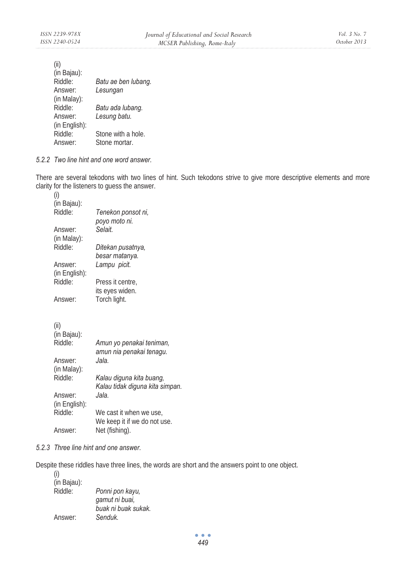(ii)

| Batu ae ben lubang. |
|---------------------|
| Lesungan            |
|                     |
| Batu ada lubang.    |
| Lesung batu.        |
|                     |
| Stone with a hole.  |
| Stone mortar.       |
|                     |

*5.2.2 Two line hint and one word answer.* 

There are several tekodons with two lines of hint. Such tekodons strive to give more descriptive elements and more clarity for the listeners to guess the answer.

| (i)<br>(in Bajau):       |                                     |
|--------------------------|-------------------------------------|
| Riddle:                  | Tenekon ponsot ni,<br>poyo moto ni. |
| Answer:                  | Selait.                             |
| (in Malay):<br>Riddle:   | Ditekan pusatnya,                   |
|                          | besar matanya.                      |
| Answer:<br>(in English): | Lampu picit.                        |
| Riddle:                  | Press it centre,                    |
|                          | its eyes widen.                     |
| Answer:                  | Torch light.                        |
|                          |                                     |
| (ii)<br>(in Bajau):      |                                     |
| Riddle:                  | Amun yo penakai teniman,            |
|                          | amun nia penakai tenagu.            |
| Answer:<br>(in Malay):   | Jala.                               |
| Riddle:                  | Kalau diguna kita buang,            |
|                          | Kalau tidak diguna kita simpan.     |
| Answer:<br>(in English): | Jala.                               |
| Riddle:                  | We cast it when we use.             |
|                          | We keep it if we do not use.        |
| Answer:                  | Net (fishing).                      |

### *5.2.3 Three line hint and one answer.*

Despite these riddles have three lines, the words are short and the answers point to one object.

| (i)         |                     |
|-------------|---------------------|
| (in Bajau): |                     |
| Riddle:     | Ponni pon kayu,     |
|             | gamut ni buai.      |
|             | buak ni buak sukak. |
| Answer:     | Senduk.             |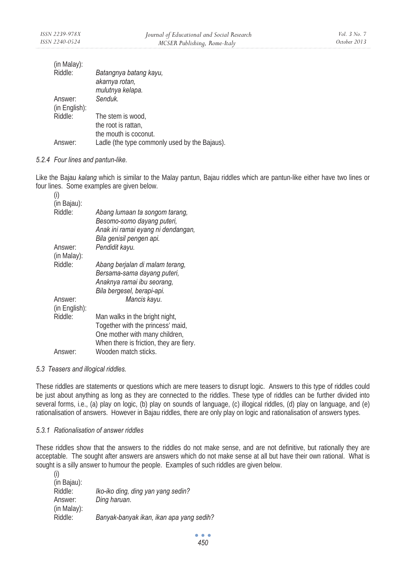| (in Malay):   |                                                              |
|---------------|--------------------------------------------------------------|
| Riddle:       | Batangnya batang kayu,<br>akarnya rotan.<br>mulutnya kelapa. |
| Answer:       | <b>Senduk</b>                                                |
| (in English): |                                                              |
| Riddle:       | The stem is wood,                                            |
|               | the root is rattan.                                          |
|               | the mouth is coconut.                                        |
| Answer:       | Ladle (the type commonly used by the Bajaus).                |

#### *5.2.4 Four lines and pantun-like.*

Like the Bajau *kalang* which is similar to the Malay pantun, Bajau riddles which are pantun-like either have two lines or four lines. Some examples are given below.

| (i)           |                                                                                                                                                  |
|---------------|--------------------------------------------------------------------------------------------------------------------------------------------------|
| (in Bajau):   |                                                                                                                                                  |
| Riddle:       | Abang lumaan ta songom tarang,<br>Besomo-somo dayang puteri,<br>Anak ini ramai eyang ni dendangan,<br>Bila genisil pengen api.                   |
| Answer:       | Pendidit kayu.                                                                                                                                   |
| (in Malay):   |                                                                                                                                                  |
| Riddle:       | Abang berjalan di malam terang,<br>Bersama-sama dayang puteri,<br>Anaknya ramai ibu seorang,<br>Bila bergesel, berapi-api.                       |
| Answer:       | Mancis kayu.                                                                                                                                     |
| (in English): |                                                                                                                                                  |
| Riddle:       | Man walks in the bright night,<br>Together with the princess' maid,<br>One mother with many children,<br>When there is friction, they are fiery. |
| Answer:       | Wooden match sticks.                                                                                                                             |

#### *5.3 Teasers and illogical riddles.*

These riddles are statements or questions which are mere teasers to disrupt logic. Answers to this type of riddles could be just about anything as long as they are connected to the riddles. These type of riddles can be further divided into several forms, i.e., (a) play on logic, (b) play on sounds of language, (c) illogical riddles, (d) play on language, and (e) rationalisation of answers. However in Bajau riddles, there are only play on logic and rationalisation of answers types.

#### *5.3.1 Rationalisation of answer riddles*

These riddles show that the answers to the riddles do not make sense, and are not definitive, but rationally they are acceptable. The sought after answers are answers which do not make sense at all but have their own rational. What is sought is a silly answer to humour the people. Examples of such riddles are given below.

| (i)         |                                          |
|-------------|------------------------------------------|
| (in Bajau): |                                          |
| Riddle:     | Iko-iko ding, ding yan yang sedin?       |
| Answer:     | Ding haruan.                             |
| (in Malay): |                                          |
| Riddle:     | Banyak-banyak ikan, ikan apa yang sedih? |

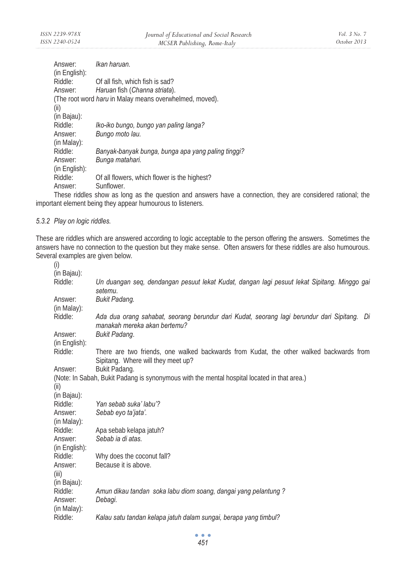| Answer:<br>(in English): | Ikan haruan.                                                   |
|--------------------------|----------------------------------------------------------------|
| Riddle:                  | Of all fish, which fish is sad?                                |
| Answer:                  | Haruan fish (Channa striata).                                  |
|                          | (The root word <i>haru</i> in Malay means overwhelmed, moved). |
| (ii)                     |                                                                |
| (in Bajau):              |                                                                |
| Riddle:                  | Iko-iko bungo, bungo yan paling langa?                         |
| Answer:                  | Bungo moto lau.                                                |
| (in Malay):              |                                                                |
| Riddle:                  | Banyak-banyak bunga, bunga apa yang paling tinggi?             |
| Answer:                  | Bunga matahari.                                                |
| $(in$ English $):$       |                                                                |
| Riddle:                  | Of all flowers, which flower is the highest?                   |
| Answer:                  | Sunflower.                                                     |
|                          |                                                                |

These riddles show as long as the question and answers have a connection, they are considered rational; the important element being they appear humourous to listeners.

#### *5.3.2 Play on logic riddles.*

These are riddles which are answered according to logic acceptable to the person offering the answers. Sometimes the answers have no connection to the question but they make sense. Often answers for these riddles are also humourous. Several examples are given below.  $\langle i \rangle$ 

| W<br>(in Bajau):       |                                                                                                                               |
|------------------------|-------------------------------------------------------------------------------------------------------------------------------|
| Riddle:                | Un duangan seq, dendangan pesuut lekat Kudat, dangan lagi pesuut lekat Sipitang. Minggo gai<br>setemu.                        |
| Answer:                | <b>Bukit Padang.</b>                                                                                                          |
| (in Malay):            |                                                                                                                               |
| Riddle:                | Ada dua orang sahabat, seorang berundur dari Kudat, seorang lagi berundur dari Sipitang. Di<br>manakah mereka akan bertemu?   |
| Answer:                | <b>Bukit Padang.</b>                                                                                                          |
| (in English):          |                                                                                                                               |
| Riddle:                | There are two friends, one walked backwards from Kudat, the other walked backwards from<br>Sipitang. Where will they meet up? |
| Answer:                | Bukit Padang.                                                                                                                 |
| (ii)                   | (Note: In Sabah, Bukit Padang is synonymous with the mental hospital located in that area.)                                   |
| (in Bajau):            |                                                                                                                               |
| Riddle:                | Yan sebab suka' labu'?                                                                                                        |
| Answer:<br>(in Malay): | Sebab eyo ta'jata'.                                                                                                           |
| Riddle:                | Apa sebab kelapa jatuh?                                                                                                       |
| Answer:                | Sebab ia di atas.                                                                                                             |
| (in English):          |                                                                                                                               |
| Riddle:                | Why does the coconut fall?                                                                                                    |
| Answer:<br>(iii)       | Because it is above.                                                                                                          |
| (in Bajau):            |                                                                                                                               |
| Riddle:                | Amun dikau tandan soka labu diom soang, dangai yang pelantung?                                                                |
| Answer:<br>(in Malay): | Debagi.                                                                                                                       |
| Riddle:                | Kalau satu tandan kelapa jatuh dalam sungai, berapa yang timbul?                                                              |
|                        |                                                                                                                               |

 $\bullet$   $\bullet$   $\bullet$ *451*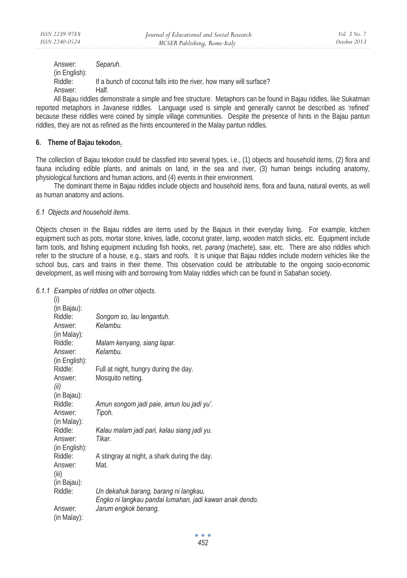Answer: *Separuh.* 

(in English): Riddle: If a bunch of coconut falls into the river, how many will surface? Answer: Half.

All Bajau riddles demonstrate a simple and free structure. Metaphors can be found in Bajau riddles, like Sukatman reported metaphors in Javanese riddles. Language used is simple and generally cannot be described as 'refined' because these riddles were coined by simple village communities. Despite the presence of hints in the Bajau pantun riddles, they are not as refined as the hints encountered in the Malay pantun riddles.

### **6. Theme of Bajau tekodon.**

The collection of Bajau tekodon could be classfied into several types, i.e., (1) objects and household items, (2) flora and fauna including edible plants, and animals on land, in the sea and river, (3) human beings including anatomy, physiological functions and human actions, and (4) events in their environment.

The dominant theme in Bajau riddles include objects and household items, flora and fauna, natural events, as well as human anatomy and actions.

### *6.1 Objects and household items.*

Objects chosen in the Bajau riddles are items used by the Bajaus in their everyday living. For example, kitchen equipment such as pots, mortar stone, knives, ladle, coconut grater, lamp, wooden match sticks, etc. Equipment include farm tools, and fishing equipment including fish hooks, net, *parang* (machete), saw, etc. There are also riddles which refer to the structure of a house, e.g., stairs and roofs. It is unique that Bajau riddles include modern vehicles like the school bus, cars and trains in their theme. This observation could be attributable to the ongoing socio-economic development, as well mixing with and borrowing from Malay riddles which can be found in Sabahan society.

*6.1.1 Examples of riddles on other objects.* 

| (i)                      |                                                         |
|--------------------------|---------------------------------------------------------|
| (in Bajau):              |                                                         |
| Riddle:                  | Songom so, lau lengantuh.                               |
| Answer:                  | Kelambu.                                                |
| (in Malay):              |                                                         |
| Riddle:                  | Malam kenyang, siang lapar.<br>Kelambu.                 |
| Answer:                  |                                                         |
| (in English):<br>Riddle: |                                                         |
| Answer:                  | Full at night, hungry during the day.                   |
| (ii)                     | Mosquito netting.                                       |
| (in Bajau):              |                                                         |
| Riddle:                  | Amun songom jadi paie, amun lou jadi yu'.               |
| Answer:                  | Tipoh.                                                  |
| (in Malay):              |                                                         |
| Riddle:                  | Kalau malam jadi pari, kalau siang jadi yu.             |
| Answer:                  | Tikar.                                                  |
| (in English):            |                                                         |
| Riddle:                  | A stingray at night, a shark during the day.            |
| Answer:                  | Mat.                                                    |
| (iii)                    |                                                         |
| (in Bajau):              |                                                         |
| Riddle:                  | Un dekahuk barang, barang ni langkau,                   |
|                          | Engko ni langkau pandai lumahan, jadi kawan anak dendo. |
| Answer:                  | Jarum engkok benang.                                    |
| (in Malay):              |                                                         |

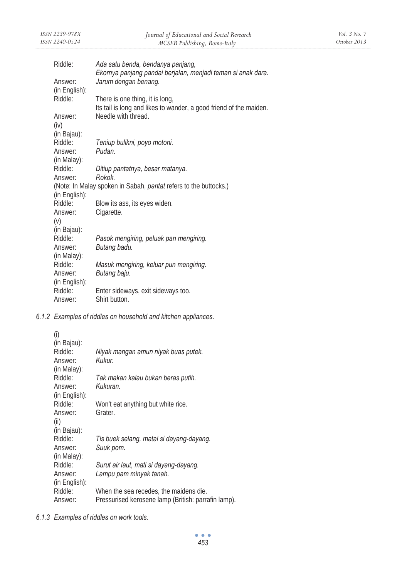| Ada satu benda, bendanya panjang,                                  |
|--------------------------------------------------------------------|
| Ekornya panjang pandai berjalan, menjadi teman si anak dara.       |
| Jarum dengan benang.                                               |
|                                                                    |
| There is one thing, it is long,                                    |
| Its tail is long and likes to wander, a good friend of the maiden. |
| Needle with thread.                                                |
|                                                                    |
|                                                                    |
| Teniup bulikni, poyo motoni.                                       |
| Pudan.                                                             |
|                                                                    |
| Ditiup pantatnya, besar matanya.                                   |
| Rokok.                                                             |
| (Note: In Malay spoken in Sabah, pantat refers to the buttocks.)   |
|                                                                    |
| Blow its ass, its eyes widen.                                      |
| Cigarette.                                                         |
|                                                                    |
|                                                                    |
| Pasok mengiring, peluak pan mengiring.                             |
| Butang badu.                                                       |
|                                                                    |
| Masuk mengiring, keluar pun mengiring.                             |
| Butang baju.                                                       |
|                                                                    |
| Enter sideways, exit sideways too.                                 |
| Shirt button.                                                      |
|                                                                    |

*6.1.2 Examples of riddles on household and kitchen appliances.* 

| (i)<br>(in Bajau): |                                                     |
|--------------------|-----------------------------------------------------|
| Riddle:            | Niyak mangan amun niyak buas putek.                 |
| Answer:            | Kukur.                                              |
| $(in$ Malay $):$   |                                                     |
| Riddle:            | Tak makan kalau bukan beras putih.                  |
| Answer:            | Kukuran.                                            |
| (in English):      |                                                     |
| Riddle:            | Won't eat anything but white rice.                  |
| Answer:            | Grater.                                             |
| (ii)               |                                                     |
| (in Bajau):        |                                                     |
| Riddle:            | Tis buek selang, matai si dayang-dayang.            |
| Answer:            | Suuk pom.                                           |
| (in Malay):        |                                                     |
| Riddle:            | Surut air laut, mati si dayang-dayang.              |
| Answer:            | Lampu pam minyak tanah.                             |
| (in English):      |                                                     |
| Riddle:            | When the sea recedes, the maidens die.              |
| Answer:            | Pressurised kerosene lamp (British: parrafin lamp). |

*6.1.3 Examples of riddles on work tools.*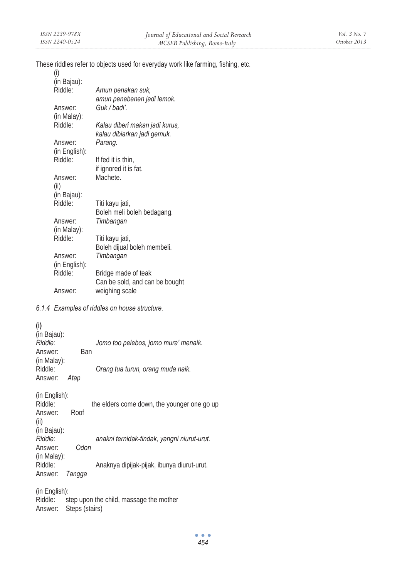These riddles refer to objects used for everyday work like farming, fishing, etc.

| (i)           |                                                               |
|---------------|---------------------------------------------------------------|
| (in Bajau):   |                                                               |
| Riddle:       | Amun penakan suk,<br>amun penebenen jadi lemok.               |
| Answer:       | Guk / badi'.                                                  |
| (in Malay):   |                                                               |
| Riddle:       | Kalau diberi makan jadi kurus,<br>kalau dibiarkan jadi gemuk. |
| Answer:       | Parang.                                                       |
| (in English): |                                                               |
| Riddle:       | If fed it is thin,                                            |
|               | if ignored it is fat.                                         |
| Answer:       | Machete.                                                      |
| (ii)          |                                                               |
| (in Bajau):   |                                                               |
| Riddle:       | Titi kayu jati,                                               |
|               | Boleh meli boleh bedagang.                                    |
| Answer:       | Timbangan                                                     |
| (in Malay):   |                                                               |
| Riddle:       | Titi kayu jati,                                               |
|               | Boleh dijual boleh membeli.                                   |
| Answer:       | Timbangan                                                     |
| (in English): |                                                               |
| Riddle:       | Bridge made of teak                                           |
|               | Can be sold, and can be bought                                |
| Answer:       | weighing scale                                                |
|               |                                                               |

| (i)<br>(in Bajau):<br>Riddle:<br>Answer:  | <b>Ban</b>     | Jomo too pelebos, jomo mura' menaik.        |
|-------------------------------------------|----------------|---------------------------------------------|
| (in Malay):<br>Riddle:<br>Answer:         | Atap           | Orang tua turun, orang muda naik.           |
| (in English):<br>Riddle:<br>Answer:       | Roof           | the elders come down, the younger one go up |
| (ii)<br>(in Bajau):<br>Riddle:<br>Answer: | Odon           | anakni ternidak-tindak, yangni niurut-urut. |
| (in Malay):<br>Riddle:<br>Answer:         | Tangga         | Anaknya dipijak-pijak, ibunya diurut-urut.  |
| (in English):<br>Riddle:<br>Answer:       | Steps (stairs) | step upon the child, massage the mother     |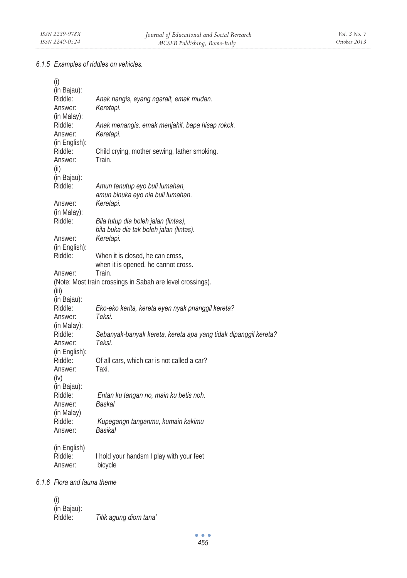*6.1.5 Examples of riddles on vehicles.* 

| (i)<br>(in Bajau):<br>Riddle:<br>Answer:<br>(in Malay): | Anak nangis, eyang ngarait, emak mudan.<br>Keretapi.                                                        |
|---------------------------------------------------------|-------------------------------------------------------------------------------------------------------------|
| Riddle:<br>Answer:<br>(in English):                     | Anak menangis, emak menjahit, bapa hisap rokok.<br>Keretapi.                                                |
| Riddle:<br>Answer:<br>(ii)                              | Child crying, mother sewing, father smoking.<br>Train.                                                      |
| (in Bajau):<br>Riddle:                                  | Amun tenutup eyo buli lumahan,<br>amun binuka eyo nia buli lumahan.                                         |
| Answer:<br>(in Malay):                                  | Keretapi.                                                                                                   |
| Riddle:<br>Answer:                                      | Bila tutup dia boleh jalan (lintas),<br>bila buka dia tak boleh jalan (lintas).<br>Keretapi.                |
| (in English):<br>Riddle:                                | When it is closed, he can cross,                                                                            |
| Answer:                                                 | when it is opened, he cannot cross.<br>Train.<br>(Note: Most train crossings in Sabah are level crossings). |
| (iii)<br>(in Bajau):                                    |                                                                                                             |
| Riddle:<br>Answer:                                      | Eko-eko kerita, kereta eyen nyak pnanggil kereta?<br>Teksi.                                                 |
| (in Malay):<br>Riddle:<br>Answer:                       | Sebanyak-banyak kereta, kereta apa yang tidak dipanggil kereta?<br>Teksi.                                   |
| (in English):<br>Riddle:<br>Answer:                     | Of all cars, which car is not called a car?<br>Taxi.                                                        |
| (iv)<br>(in Bajau):<br>Riddle:<br>Answer:<br>(in Malay) | Entan ku tangan no, main ku betis noh.<br>Baskal                                                            |
| Riddle:<br>Answer:                                      | Kupegangn tanganmu, kumain kakimu<br>Basikal                                                                |
| (in English)<br>Riddle:<br>Answer:                      | I hold your handsm I play with your feet<br>bicycle                                                         |
|                                                         |                                                                                                             |

*6.1.6 Flora and fauna theme* 

| (i)         |                        |
|-------------|------------------------|
| (in Bajau): |                        |
| Riddle:     | Titik agung diom tana' |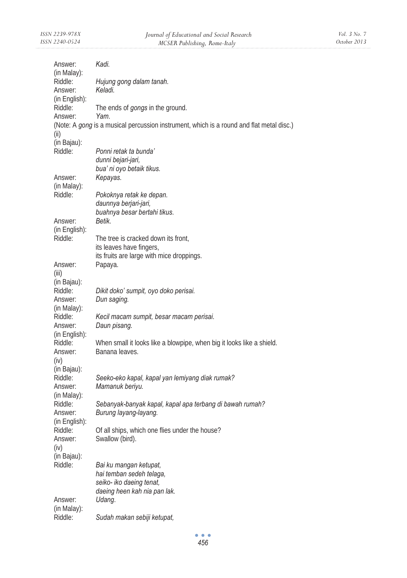| Answer:<br>(in Malay):              | Kadi.                                                                                    |
|-------------------------------------|------------------------------------------------------------------------------------------|
| Riddle:<br>Answer:<br>(in English): | Hujung gong dalam tanah.<br>Keladi.                                                      |
| Riddle:<br>Answer:                  | The ends of gongs in the ground.<br>Yam.                                                 |
| (ii)                                | (Note: A gong is a musical percussion instrument, which is a round and flat metal disc.) |
| (in Bajau):<br>Riddle:              | Ponni retak ta bunda'                                                                    |
|                                     | dunni bejari-jari,<br>bua' ni oyo betaik tikus.                                          |
| Answer:<br>(in Malay):              | Kepayas.                                                                                 |
| Riddle:                             | Pokoknya retak ke depan.<br>daunnya berjari-jari,                                        |
| Answer:<br>(in English):            | buahnya besar bertahi tikus.<br>Betik.                                                   |
| Riddle:                             | The tree is cracked down its front,                                                      |
|                                     | its leaves have fingers,<br>its fruits are large with mice droppings.                    |
| Answer:                             | Papaya.                                                                                  |
| (iii)                               |                                                                                          |
| (in Bajau):<br>Riddle:              | Dikit doko' sumpit, oyo doko perisai.                                                    |
| Answer:                             | Dun saging.                                                                              |
| (in Malay):                         |                                                                                          |
| Riddle:<br>Answer:                  | Kecil macam sumpit, besar macam perisai.<br>Daun pisang.                                 |
| (in English):                       |                                                                                          |
| Riddle:<br>Answer:                  | When small it looks like a blowpipe, when big it looks like a shield.<br>Banana leaves.  |
| (iv)                                |                                                                                          |
| (in Bajau):<br>Riddle:              | Seeko-eko kapal, kapal yan lemiyang diak rumak?                                          |
| Answer:<br>(in Malay):              | Mamanuk beriyu.                                                                          |
| Riddle:<br>Answer:                  | Sebanyak-banyak kapal, kapal apa terbang di bawah rumah?<br>Burung layang-layang.        |
| (in English):<br>Riddle:<br>Answer: | Of all ships, which one flies under the house?<br>Swallow (bird).                        |
| (iv)<br>(in Bajau):                 |                                                                                          |
| Riddle:                             | Bai ku mangan ketupat,                                                                   |
|                                     | hai temban sedeh telaga,                                                                 |
|                                     | seiko- iko daeing tenat,<br>daeing heen kah nia pan lak.                                 |
| Answer:<br>(in Malay):              | Udang.                                                                                   |
| Riddle:                             | Sudah makan sebiji ketupat,                                                              |

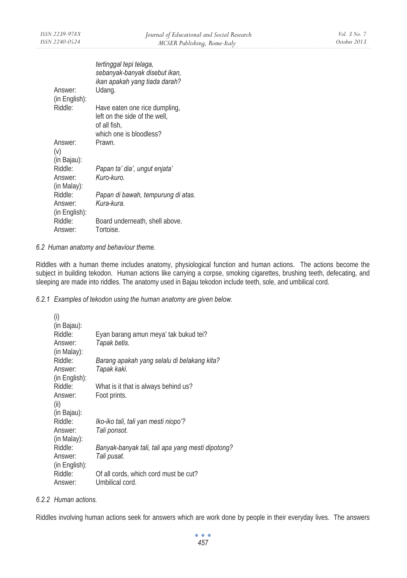| Answer:<br>(in English):                         | tertinggal tepi telaga.<br>sebanyak-banyak disebut ikan,<br>ikan apakah yang tiada darah?<br>Udang.       |
|--------------------------------------------------|-----------------------------------------------------------------------------------------------------------|
| Riddle:                                          | Have eaten one rice dumpling,<br>left on the side of the well.<br>of all fish.<br>which one is bloodless? |
| Answer:<br>(v)                                   | Prawn.                                                                                                    |
| (in Bajau):<br>Riddle:<br>Answer:<br>(in Malay): | Papan ta' dia', ungut enjata'<br>Kuro-kuro.                                                               |
| Riddle:<br>Answer:<br>(in English):              | Papan di bawah, tempurung di atas.<br>Kura-kura.                                                          |
| Riddle:<br>Answer:                               | Board underneath, shell above.<br>Tortoise.                                                               |
|                                                  |                                                                                                           |

#### *6.2 Human anatomy and behaviour theme.*

Riddles with a human theme includes anatomy, physiological function and human actions. The actions become the subject in building tekodon. Human actions like carrying a corpse, smoking cigarettes, brushing teeth, defecating, and sleeping are made into riddles. The anatomy used in Bajau tekodon include teeth, sole, and umbilical cord.

*6.2.1 Examples of tekodon using the human anatomy are given below.* 

| (i)<br>(in Bajau):                     |                                                                  |
|----------------------------------------|------------------------------------------------------------------|
| Riddle:<br>Answer:                     | Eyan barang amun meya' tak bukud tei?<br>Tapak betis.            |
| $(in$ Malay $):$<br>Riddle:<br>Answer: | Barang apakah yang selalu di belakang kita?<br>Tapak kaki.       |
| (in English):<br>Riddle:<br>Answer:    | What is it that is always behind us?<br>Foot prints.             |
| (ii)<br>(in Bajau):                    |                                                                  |
| Riddle:<br>Answer:<br>$(in$ Malay $):$ | lko-iko tali, tali yan mesti niopo'?<br>Tali ponsot.             |
| Riddle:<br>Answer:                     | Banyak-banyak tali, tali apa yang mesti dipotong?<br>Tali pusat. |
| (in English):<br>Riddle:<br>Answer:    | Of all cords, which cord must be cut?<br>Umbilical cord.         |

#### *6.2.2 Human actions.*

Riddles involving human actions seek for answers which are work done by people in their everyday lives. The answers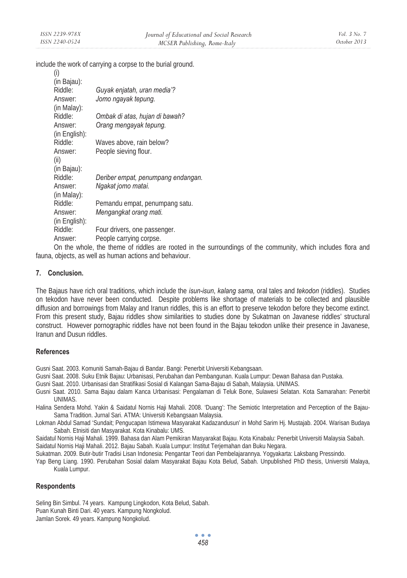$\binom{n}{i}$ 

include the work of carrying a corpse to the burial ground.

| Guyak enjatah, uran media'?        |
|------------------------------------|
| Jomo ngayak tepung.                |
|                                    |
| Ombak di atas, hujan di bawah?     |
| Orang mengayak tepung.             |
|                                    |
| Waves above, rain below?           |
| People sieving flour.              |
|                                    |
|                                    |
| Deriber empat, penumpang endangan. |
| Ngakat jomo matai.                 |
|                                    |
| Pemandu empat, penumpang satu.     |
| Mengangkat orang mati.             |
|                                    |
| Four drivers, one passenger.       |
| People carrying corpse.            |
|                                    |

On the whole, the theme of riddles are rooted in the surroundings of the community, which includes flora and fauna, objects, as well as human actions and behaviour.

#### **7. Conclusion.**

The Bajaus have rich oral traditions, which include the *isun-isun*, *kalang sama,* oral tales and *tekodon* (riddles). Studies on tekodon have never been conducted. Despite problems like shortage of materials to be collected and plausible diffusion and borrowings from Malay and Iranun riddles, this is an effort to preserve tekodon before they become extinct. From this present study, Bajau riddles show similarities to studies done by Sukatman on Javanese riddles' structural construct. However pornographic riddles have not been found in the Bajau tekodon unlike their presence in Javanese, Iranun and Dusun riddles.

#### **References**

Gusni Saat. 2003. Komuniti Samah-Bajau di Bandar. Bangi: Penerbit Universiti Kebangsaan.

- Gusni Saat. 2008. Suku Etnik Bajau: Urbanisasi, Perubahan dan Pembangunan. Kuala Lumpur: Dewan Bahasa dan Pustaka.
- Gusni Saat. 2010. Urbanisasi dan Stratifikasi Sosial di Kalangan Sama-Bajau di Sabah, Malaysia. UNIMAS.
- Gusni Saat. 2010. Sama Bajau dalam Kanca Urbanisasi: Pengalaman di Teluk Bone, Sulawesi Selatan. Kota Samarahan: Penerbit UNIMAS.
- Halina Sendera Mohd. Yakin & Saidatul Nornis Haji Mahali. 2008. 'Duang': The Semiotic Interpretation and Perception of the Bajau-Sama Tradition. Jurnal Sari. ATMA: Universiti Kebangsaan Malaysia.
- Lokman Abdul Samad 'Sundait; Pengucapan Istimewa Masyarakat Kadazandusun' in Mohd Sarim Hj. Mustajab. 2004. Warisan Budaya Sabah. Etnisiti dan Masyarakat. Kota Kinabalu: UMS.
- Saidatul Nornis Haji Mahali. 1999. Bahasa dan Alam Pemikiran Masyarakat Bajau. Kota Kinabalu: Penerbit Universiti Malaysia Sabah. Saidatul Nornis Haji Mahali. 2012. Bajau Sabah. Kuala Lumpur: Institut Terjemahan dan Buku Negara.
- Sukatman. 2009. Butir-butir Tradisi Lisan Indonesia: Pengantar Teori dan Pembelajarannya. Yogyakarta: Laksbang Pressindo.
- Yap Beng Liang. 1990. Perubahan Sosial dalam Masyarakat Bajau Kota Belud, Sabah. Unpublished PhD thesis, Universiti Malaya, Kuala Lumpur.

#### **Respondents**

Seling Bin Simbul. 74 years. Kampung Lingkodon, Kota Belud, Sabah. Puan Kunah Binti Dari. 40 years. Kampung Nongkolud. Jamlan Sorek. 49 years. Kampung Nongkolud.

> $\bullet$   $\bullet$   $\bullet$ *458*